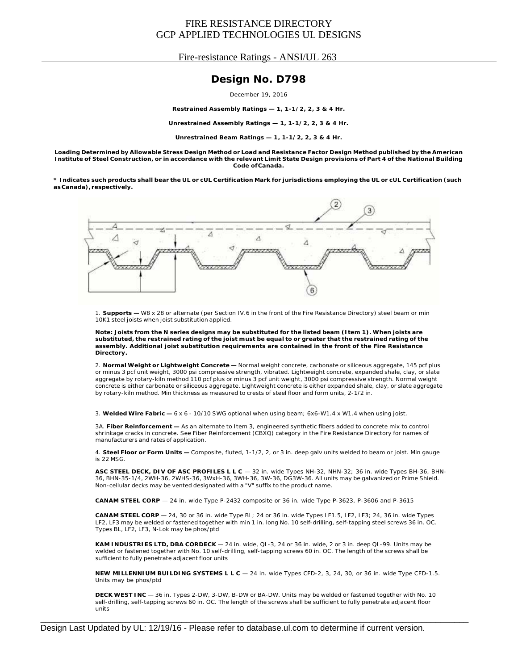Fire-resistance Ratings - ANSI/UL 263

### **Design No. D798**

December 19, 2016

**Restrained Assembly Ratings — 1, 1-1/2, 2, 3 & 4 Hr.**

**Unrestrained Assembly Ratings — 1, 1-1/2, 2, 3 & 4 Hr.**

**Unrestrained Beam Ratings — 1, 1-1/2, 2, 3 & 4 Hr.**

Loading Determined by Allowable Stress Design Method or Load and Resistance Factor Design Method published by the American Institute of Steel Construction, or in accordance with the relevant Limit State Design provisions of Part 4 of the National Building **Code ofCanada.**

\* Indicates such products shall bear the UL or cUL Certification Mark for jurisdictions employing the UL or cUL Certification (such **asCanada), respectively.**



1. **Supports —** W8 x 28 or alternate (per Section IV.6 in the front of the Fire Resistance Directory) steel beam or min 10K1 steel joists when joist substitution applied.

Note: Joists from the N series designs may be substituted for the listed beam (Item 1). When joists are substituted, the restrained rating of the joist must be equal to or greater that the restrained rating of the **assembly. Additional joist substitution requirements are contained in the front of the Fire Resistance Directory.**

2. **Normal Weight or Lightweight Concrete —** Normal weight concrete, carbonate or siliceous aggregate, 145 pcf plus or minus 3 pcf unit weight, 3000 psi compressive strength, vibrated. Lightweight concrete, expanded shale, clay, or slate aggregate by rotary-kiln method 110 pcf plus or minus 3 pcf unit weight, 3000 psi compressive strength. Normal weight concrete is either carbonate or siliceous aggregate. Lightweight concrete is either expanded shale, clay, or slate aggregate by rotary-kiln method. Min thickness as measured to crests of steel floor and form units, 2-1/2 in.

3. **Welded Wire Fabric —** 6 x 6 - 10/10 SWG optional when using beam; 6x6-W1.4 x W1.4 when using joist.

3A. **Fiber Reinforcement —** As an alternate to Item 3, engineered synthetic fibers added to concrete mix to control shrinkage cracks in concrete. See Fiber Reinforcement (CBXQ) category in the Fire Resistance Directory for names of manufacturers and rates of application.

4. **Steel Floor or Form Units —** Composite, fluted, 1-1/2, 2, or 3 in. deep galv units welded to beam or joist. Min gauge is 22 MSG.

**ASC STEEL DECK, DIV OF ASC PROFILES L L C** — 32 in. wide Types NH-32, NHN-32; 36 in. wide Types BH-36, BHN-36, BHN-35-1/4, 2WH-36, 2WHS-36, 3WxH-36, 3WH-36, 3W-36, DG3W-36. All units may be galvanized or Prime Shield. Non-cellular decks may be vented designated with a "V" suffix to the product name.

**CANAM STEEL CORP** — 24 in. wide Type P-2432 composite or 36 in. wide Type P-3623, P-3606 and P-3615

**CANAM STEEL CORP** — 24, 30 or 36 in. wide Type BL; 24 or 36 in. wide Types LF1.5, LF2, LF3; 24, 36 in. wide Types LF2, LF3 may be welded or fastened together with min 1 in. long No. 10 self-drilling, self-tapping steel screws 36 in. OC. Types BL, LF2, LF3, N-Lok may be phos/ptd

**KAM INDUSTRIES LTD, DBA CORDECK** — 24 in. wide, QL-3, 24 or 36 in. wide, 2 or 3 in. deep QL-99. Units may be welded or fastened together with No. 10 self-drilling, self-tapping screws 60 in. OC. The length of the screws shall be sufficient to fully penetrate adjacent floor units

**NEW MILLENNIUM BUILDING SYSTEMS L L C** — 24 in. wide Types CFD-2, 3, 24, 30, or 36 in. wide Type CFD-1.5. Units may be phos/ptd

**DECK WEST INC** — 36 in. Types 2-DW, 3-DW, B-DW or BA-DW. Units may be welded or fastened together with No. 10 self-drilling, self-tapping screws 60 in. OC. The length of the screws shall be sufficient to fully penetrate adjacent floor units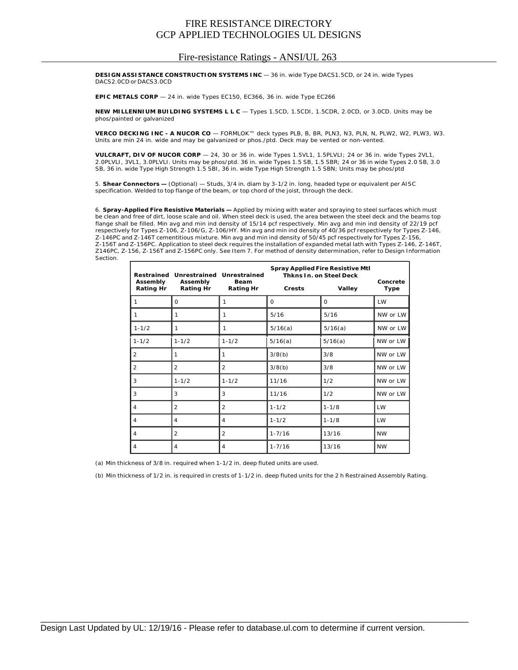#### Fire-resistance Ratings - ANSI/UL 263

**DESIGN ASSISTANCE CONSTRUCTION SYSTEMS INC** — 36 in. wide Type DACS1.5CD, or 24 in. wide Types DACS2.0CD or DACS3.0CD

EPIC METALS CORP - 24 in. wide Types EC150, EC366, 36 in. wide Type EC266

**NEW MILLENNIUM BUILDING SYSTEMS L L C** — Types 1.5CD, 1.5CDI, 1.5CDR, 2.0CD, or 3.0CD. Units may be phos/painted or galvanized

**VERCO DECKING INC - A NUCOR CO** — FORMLOK™ deck types PLB, B, BR, PLN3, N3, PLN, N, PLW2, W2, PLW3, W3. Units are min 24 in. wide and may be galvanized or phos./ptd. Deck may be vented or non-vented.

**VULCRAFT, DIV OF NUCOR CORP** — 24, 30 or 36 in. wide Types 1.5VL1, 1.5PLVLI; 24 or 36 in. wide Types 2VL1, 2.0PLVLI, 3VL1, 3.0PLVLI. Units may be phos/ptd. 36 in. wide Types 1.5 SB, 1.5 SBR; 24 or 36 in wide Types 2.0 SB, 3.0 SB, 36 in. wide Type High Strength 1.5 SBI, 36 in. wide Type High Strength 1.5 SBN; Units may be phos/ptd

5. **Shear Connectors —** (Optional) — Studs, 3/4 in. diam by 3-1/2 in. long, headed type or equivalent per AISC specification. Welded to top flange of the beam, or top chord of the joist, through the deck.

6. **Spray-Applied Fire Resistive Materials —** Applied by mixing with water and spraying to steel surfaces which must be clean and free of dirt, loose scale and oil. When steel deck is used, the area between the steel deck and the beams top flange shall be filled. Min avg and min ind density of 15/14 pcf respectively. Min avg and min ind density of 22/19 pcf respectively for Types Z-106, Z-106/G, Z-106/HY. Min avg and min ind density of 40/36 pcf respectively for Types Z-146, Z-146PC and Z-146T cementitious mixture. Min avg and min ind density of 50/45 pcf respectively for Types Z-156, Z-156T and Z-156PC. Application to steel deck requires the installation of expanded metal lath with Types Z-146, Z-146T, Z146PC, Z-156, Z-156T and Z-156PC only. See Item 7. For method of density determination, refer to Design Information Section.

| Restrained                   | Unrestrained Unrestrained |                                 | <b>Spray Applied Fire Resistive Mtl</b><br><b>Thkns In. on Steel Deck</b> |           |                         |
|------------------------------|---------------------------|---------------------------------|---------------------------------------------------------------------------|-----------|-------------------------|
| Assembly<br><b>Rating Hr</b> | Assembly<br>Rating Hr     | <b>Beam</b><br><b>Rating Hr</b> | <b>Crests</b>                                                             | Valley    | Concrete<br><b>Type</b> |
| 1                            | $\Omega$                  | 1                               | 0                                                                         | $\Omega$  | LW                      |
| 1                            | 1                         | 1                               | 5/16                                                                      | 5/16      | NW or LW                |
| $1 - 1/2$                    | 1                         | 1                               | 5/16(a)                                                                   | 5/16(a)   | NW or LW                |
| $1 - 1/2$                    | $1 - 1/2$                 | $1 - 1/2$                       | 5/16(a)                                                                   | 5/16(a)   | NW or LW                |
| $\overline{2}$               | 1                         | 1                               | 3/8(b)                                                                    | 3/8       | NW or LW                |
| $\overline{2}$               | $\overline{2}$            | $\overline{2}$                  | 3/8(b)                                                                    | 3/8       | NW or LW                |
| 3                            | $1 - 1/2$                 | $1 - 1/2$                       | 11/16                                                                     | 1/2       | NW or LW                |
| 3                            | 3                         | 3                               | 11/16                                                                     | 1/2       | NW or LW                |
| 4                            | 2                         | 2                               | $1 - 1/2$                                                                 | $1 - 1/8$ | LW                      |
| 4                            | 4                         | 4                               | $1 - 1/2$                                                                 | $1 - 1/8$ | <b>LW</b>               |
| $\overline{4}$               | $\overline{2}$            | $\overline{2}$                  | $1 - 7/16$                                                                | 13/16     | <b>NW</b>               |
| 4                            | 4                         | 4                               | $1 - 7/16$                                                                | 13/16     | <b>NW</b>               |

(a) Min thickness of 3/8 in. required when 1-1/2 in. deep fluted units are used.

(b) Min thickness of 1/2 in. is required in crests of 1-1/2 in. deep fluted units for the 2 h Restrained Assembly Rating.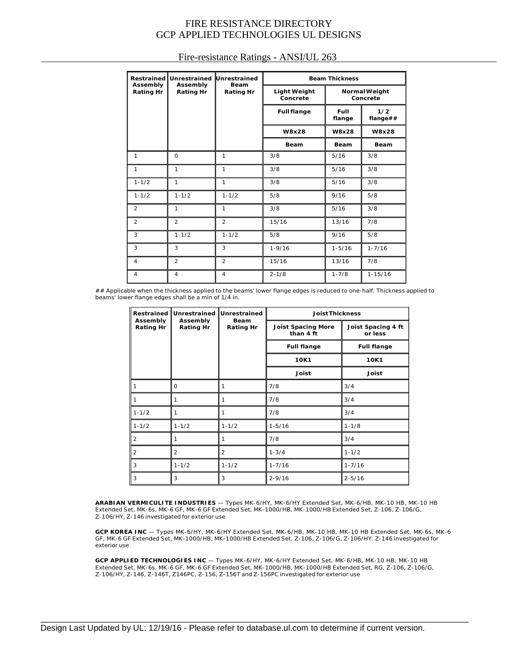| <b>Restrained</b>            | Unrestrained<br>Assembly<br><b>Rating Hr</b> | Unrestrained<br><b>Beam</b><br><b>Rating Hr</b> | <b>Beam Thickness</b>           |                                  |                 |
|------------------------------|----------------------------------------------|-------------------------------------------------|---------------------------------|----------------------------------|-----------------|
| Assembly<br><b>Rating Hr</b> |                                              |                                                 | <b>Light Weight</b><br>Concrete | <b>Normal Weight</b><br>Concrete |                 |
|                              |                                              |                                                 | <b>Full flange</b>              | Full<br>flange                   | 1/2<br>flange## |
|                              |                                              |                                                 | W8x28                           | W8x28                            | W8x28           |
|                              |                                              |                                                 | Beam                            | Beam                             | <b>Beam</b>     |
| 1                            | $\Omega$                                     | 1                                               | 3/8                             | 5/16                             | 3/8             |
| $\mathbf{1}$                 | $\mathbf{1}$                                 | 1                                               | 3/8                             | 5/16                             | 3/8             |
| $1 - 1/2$                    | $\mathbf{1}$                                 | 1                                               | 3/8                             | 5/16                             | 3/8             |
| $1 - 1/2$                    | $1 - 1/2$                                    | $1 - 1/2$                                       | 5/8                             | 9/16                             | 5/8             |
| $\overline{2}$               | 1                                            | 1                                               | 3/8                             | 5/16                             | 3/8             |
| $\overline{2}$               | $\overline{2}$                               | $\overline{2}$                                  | 15/16                           | 13/16                            | 7/8             |
| 3                            | $1 - 1/2$                                    | $1 - 1/2$                                       | 5/8                             | 9/16                             | 5/8             |
| 3                            | 3                                            | 3                                               | $1 - 9/16$                      | $1 - 5/16$                       | $1 - 7/16$      |
| $\overline{4}$               | $\overline{2}$                               | $\overline{2}$                                  | 15/16                           | 13/16                            | 7/8             |
| 4                            | $\overline{4}$                               | 4                                               | $2 - 1/8$                       | $1 - 7/8$                        | $1 - 15/16$     |

#### Fire-resistance Ratings - ANSI/UL 263

## Applicable when the thickness applied to the beams' lower flange edges is reduced to one-half. Thickness applied to beams' lower flange edges shall be a min of 1/4 in.

| Restrained                   | Unrestrained<br>Assembly<br><b>Rating Hr</b> | Unrestrained<br><b>Beam</b><br><b>Rating Hr</b> | <b>Joist Thickness</b>                 |                                                             |  |
|------------------------------|----------------------------------------------|-------------------------------------------------|----------------------------------------|-------------------------------------------------------------|--|
| Assembly<br><b>Rating Hr</b> |                                              |                                                 | <b>Joist Spacing More</b><br>than 4 ft | Joist Spacing 4 ft<br>or less<br><b>Full flange</b><br>10K1 |  |
|                              |                                              |                                                 | <b>Full flange</b>                     |                                                             |  |
|                              |                                              |                                                 | 10K1                                   |                                                             |  |
|                              |                                              |                                                 | <b>Joist</b>                           | <b>Joist</b>                                                |  |
|                              | 0                                            | 1                                               | 7/8                                    | 3/4                                                         |  |
|                              |                                              | 1                                               | 7/8                                    | 3/4                                                         |  |
| $1 - 1/2$                    |                                              | 1                                               | 7/8                                    | 3/4                                                         |  |
| $1 - 1/2$                    | $1 - 1/2$                                    | $1 - 1/2$                                       | $1 - 5/16$                             | $1 - 1/8$                                                   |  |
| 2                            |                                              | 1                                               | 7/8                                    | 3/4                                                         |  |
| $\overline{2}$               | $\overline{2}$                               | $\overline{2}$                                  | $1 - 3/4$                              | $1 - 1/2$                                                   |  |
| 3                            | $1 - 1/2$                                    | $1 - 1/2$                                       | $1 - 7/16$                             | $1 - 7/16$                                                  |  |
| 3                            | 3                                            | 3                                               | $2 - 9/16$                             | $2 - 5/16$                                                  |  |

**ARABIAN VERMICULITE INDUSTRIES** — Types MK-6/HY, MK-6/HY Extended Set, MK-6/HB, MK-10 HB, MK-10 HB Extended Set, MK-6s, MK-6 GF, MK-6 GF Extended Set, MK-1000/HB, MK-1000/HB Extended Set, Z-106, Z-106/G, Z-106/HY, Z-146 investigated for exterior use

**GCP KOREA INC** — Types MK-6/HY, MK-6/HY Extended Set, MK-6/HB, MK-10 HB, MK-10 HB Extended Set, MK-6s, MK-6 GF, MK-6 GF Extended Set, MK-1000/HB, MK-1000/HB Extended Set, Z-106, Z-106/G, Z-106/HY, Z-146 investigated for exterior use

**GCP APPLIED TECHNOLOGIES INC** — Types MK-6/HY, MK-6/HY Extended Set, MK-6/HB, MK-10 HB, MK-10 HB Extended Set, MK-6s, MK-6 GF, MK-6 GF Extended Set, MK-1000/HB, MK-1000/HB Extended Set, RG, Z-106, Z-106/G, Z-106/HY, Z-146, Z-146T, Z146PC, Z-156, Z-156T and Z-156PC investigated for exterior use